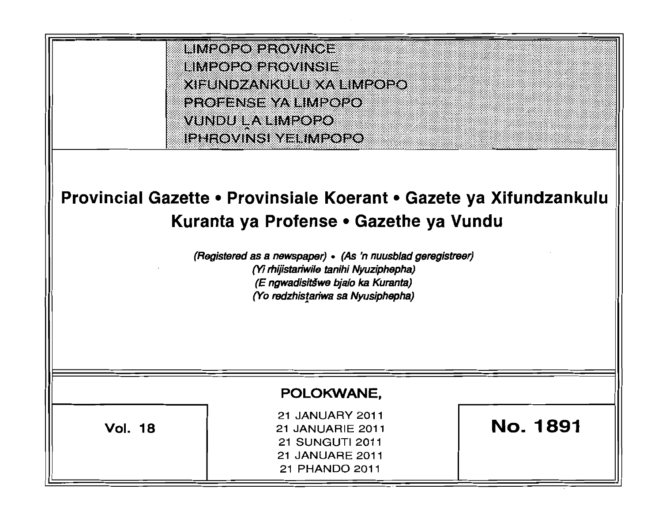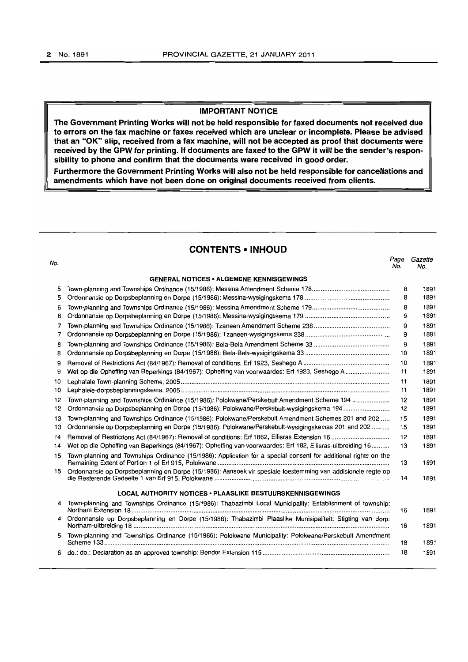### **IMPORTANT NOTICE**

**The Government Printing Works will not be held responsible for faxed documents not received due to errors on the fax machine or faxes received which are unclear or incomplete. Please be advised that an "OK" slip, received from a fax machine, will not be accepted as proof that documents were received by the GPW for printing. If documents are faxed to the GPW it will be the sender's responsibility to phone and confirm that the documents were received in good order.** 

**Furthermore the Government Printing Works will also not be held responsible for cancellations and amendments which have not been done on original documents received from clients.** 

# **CONTENTS • INHOUD**

### **GENERAL NOTICES • ALGEMENE KENNISGEWINGS**

| 5   |                                                                                                                 | 8  | 1891 |
|-----|-----------------------------------------------------------------------------------------------------------------|----|------|
| 5   |                                                                                                                 | 8  | 1891 |
| 6   |                                                                                                                 | 8  | 1891 |
| 6   |                                                                                                                 | 9  | 1891 |
| 7   |                                                                                                                 | 9  | 1891 |
| 7   |                                                                                                                 | 9  | 1891 |
| 8   |                                                                                                                 | 9  | 1891 |
| 8   |                                                                                                                 | 10 | 1891 |
| 9   |                                                                                                                 | 10 | 1891 |
| 9   | Wet op die Opheffing van Beperkings (84/1967): Opheffing van voorwaardes: Erf 1923, Seshego A                   | 11 | 1891 |
| 10  |                                                                                                                 | 11 | 1891 |
| 10  |                                                                                                                 | 11 | 1891 |
| 12  | Town-planning and Townships Ordinance (15/1986): Polokwane/Perskebult Amendment Scheme 194                      | 12 | 1891 |
| 12  | Ordonnansie op Dorpsbeplanning en Dorpe (15/1986): Polokwane/Perskebult-wysigingskema 194                       | 12 | 1891 |
| 13  | Town-planning and Townships Ordinance (15/1986): Polokwane/Perskebult Amendment Schemes 201 and 202             | 15 | 1891 |
| 13  | Ordonnansie op Dorpsbeplanning en Dorpe (15/1986): Polokwane/Perskebult-wysigingskemas 201 and 202              | 15 | 1891 |
| 14  |                                                                                                                 | 12 | 1891 |
| 14  | Wet op die Opheffing van Beperkings (84/1967): Opheffing van voorwaardes: Erf 182, Ellisras-uitbreiding 16      | 13 | 1891 |
| 15  | Town-planning and Townships Ordinance (15/1986): Application for a special consent for additional rights on the | 13 | 1891 |
| 15. | Ordonnansie op Dorpsbeplanning en Dorpe (15/1986): Aansoek vir spesiale toestemming van addisionele regte op    | 14 | 1891 |
|     | <b>LOCAL AUTHORITY NOTICES . PLAASLIKE BESTUURSKENNISGEWINGS</b>                                                |    |      |
| 4   | Town-planning and Townships Ordinance (15/1986): Thabazimbi Local Municipality: Establishment of township:      | 16 | 1891 |
| 4   | Ordonnansie op Dorpsbeplanning en Dorpe (15/1986): Thabazimbi Plaaslike Munisipaliteit: Stigting van dorp:      | 16 | 1891 |
| 5.  | Town-planning and Townships Ordinance (15/1986): Polokwane Municipality: Polokwane/Perskebult Amendment         | 18 | 1891 |
| 6.  |                                                                                                                 | 18 | 1891 |
|     |                                                                                                                 |    |      |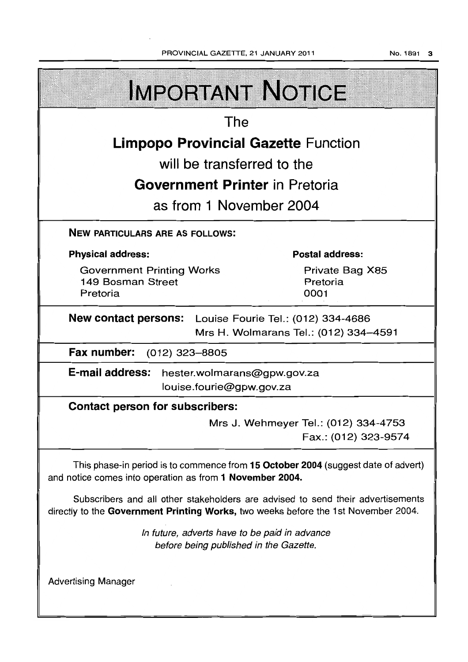PROVINCIAL GAZETTE, 21 JANUARY 2011

No. 1891 3

| <b>IMPORTANT NOTICE</b>                                                                                                                                               |                                                              |  |  |  |
|-----------------------------------------------------------------------------------------------------------------------------------------------------------------------|--------------------------------------------------------------|--|--|--|
| The                                                                                                                                                                   |                                                              |  |  |  |
| <b>Limpopo Provincial Gazette Function</b>                                                                                                                            |                                                              |  |  |  |
| will be transferred to the                                                                                                                                            |                                                              |  |  |  |
| <b>Government Printer in Pretoria</b>                                                                                                                                 |                                                              |  |  |  |
| as from 1 November 2004                                                                                                                                               |                                                              |  |  |  |
| <b>NEW PARTICULARS ARE AS FOLLOWS:</b>                                                                                                                                |                                                              |  |  |  |
| <b>Physical address:</b>                                                                                                                                              | <b>Postal address:</b>                                       |  |  |  |
| <b>Government Printing Works</b><br>149 Bosman Street<br>Pretoria                                                                                                     | Private Bag X85<br>Pretoria<br>0001                          |  |  |  |
| <b>New contact persons:</b> Louise Fourie Tel.: (012) 334-4686<br>Mrs H. Wolmarans Tel.: (012) 334-4591                                                               |                                                              |  |  |  |
| Fax number:<br>(012) 323–8805                                                                                                                                         |                                                              |  |  |  |
| <b>E-mail address:</b><br>hester.wolmarans@gpw.gov.za<br>louise.fourie@gpw.gov.za                                                                                     |                                                              |  |  |  |
| <b>Contact person for subscribers:</b>                                                                                                                                |                                                              |  |  |  |
|                                                                                                                                                                       | Mrs J. Wehmeyer Tel.: (012) 334-4753<br>Fax.: (012) 323-9574 |  |  |  |
| This phase-in period is to commence from 15 October 2004 (suggest date of advert)<br>and notice comes into operation as from 1 November 2004.                         |                                                              |  |  |  |
| Subscribers and all other stakeholders are advised to send their advertisements<br>directly to the Government Printing Works, two weeks before the 1st November 2004. |                                                              |  |  |  |
| In future, adverts have to be paid in advance<br>before being published in the Gazette.                                                                               |                                                              |  |  |  |
| <b>Advertising Manager</b>                                                                                                                                            |                                                              |  |  |  |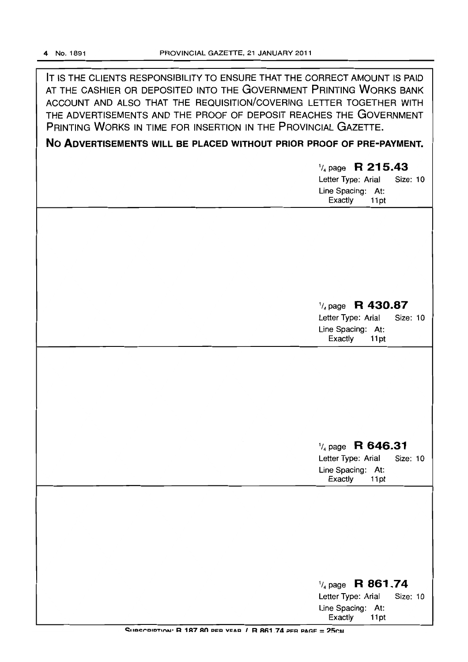IT IS THE CLIENTS RESPONSIBILITY TO ENSURE THAT THE CORRECT AMOUNT IS PAID AT THE CASHIER OR DEPOSITED INTO THE GOVERNMENT PRINTING WORKS BANK ACCOUNT AND ALSO THAT THE REQUISITION/COVERING LETTER TOGETHER WITH THE ADVERTISEMENTS AND THE PROOF OF DEPOSIT REACHES THE GOVERNMENT PRINTING WORKS IN TIME FOR INSERTION IN THE PROVINCIAL GAZETTE.

# No ADVERTISEMENTS WILL BE PLACED WITHOUT PRIOR PROOF OF PRE-PAYMENT.

| $\frac{1}{4}$ page R 215.43<br>Letter Type: Arial<br>Size: 10<br>Line Spacing: At:<br>Exactly<br>11pt        |
|--------------------------------------------------------------------------------------------------------------|
| $\frac{1}{4}$ page R 430.87<br>Letter Type: Arial<br><b>Size: 10</b><br>Line Spacing: At:<br>Exactly<br>11pt |
|                                                                                                              |
| $\frac{1}{4}$ page R 646.31<br>Letter Type: Arial<br>Size: 10<br>Line Spacing: At:<br>Exactly<br>11pt        |
| $\frac{1}{4}$ page R 861.74<br>Letter Type: Arial<br><b>Size: 10</b><br>Line Spacing: At:                    |

Exactly 11pt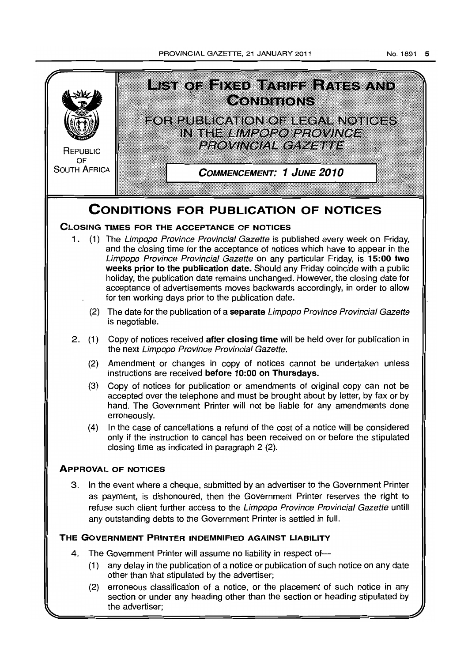PROVINCIAL GAZETTE. 21 JANUARY 2011



the advertiser;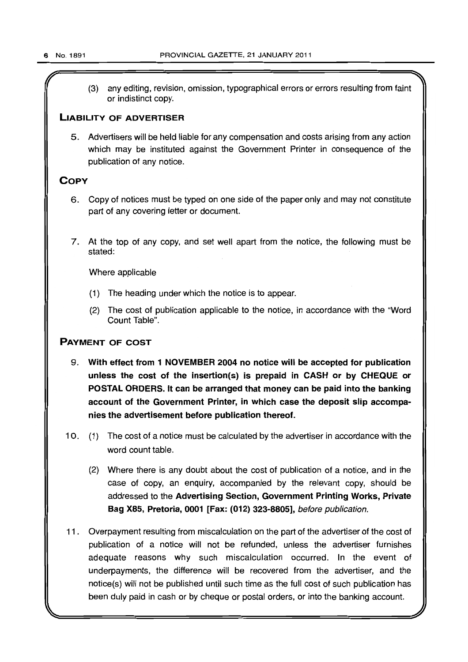$(3)$  any editing, revision, omission, typographical errors or errors resulting from faint or indistinct copy.

# LIABILITY OF ADVERTISER

5. Advertisers will be held liable for any compensation and costs arising from any action which may be instituted against the Government Printer in consequence of the publication of any notice.

# **COPY**

- 6. Copy of notices must be typed on one side of the paper only and may not constitute part of any covering letter or document.
- 7. At the top of any copy, and set well apart from the notice, the following must be stated:

Where applicable

- (1) The heading under which the notice is to appear.
- (2) The cost of publication applicable to the notice, in accordance with the "Word Count Table".

# PAYMENT OF COST

- 9. With effect from 1 NOVEMBER 2004 no notice will be accepted for publication unless the cost of the insertion(s) is prepaid in CASH or by CHEQUE or POSTAL ORDERS. It can be arranged that money can be paid into the banking account of the Government Printer, in which case the deposit slip accompanies the advertisement before publication thereof.
- 10. (1) The cost of a notice must be calculated by the advertiser in accordance with the word count table.
	- (2) Where there is any doubt about the cost of publication of a notice, and in the case of copy, an enquiry, accompanied by the relevant copy, should be addressed to the Advertising Section, Government Printing Works, Private Bag X85, Pretoria, 0001 [Fax: (012) 323-8805], before publication.
- 11. Overpayment resulting from miscalculation on the part of the advertiser of the cost of publication of a notice will not be refunded, unless the advertiser furnishes adequate reasons why such miscalculation occurred. In the event of underpayments, the difference will be recovered from the advertiser, and the notice(s) will not be published until such time as the full cost of such publication has been duly paid in cash or by cheque or postal orders, or into the banking account.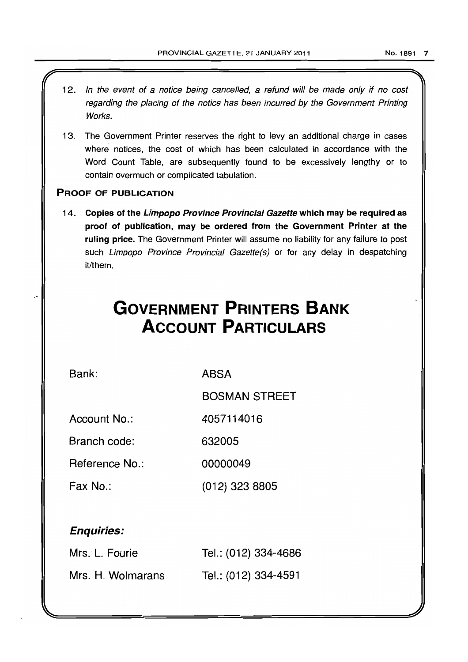- 12. In the event of a notice being cancelled, a refund will be made only if no cost regarding the placing of the notice has been incurred by the Government Printing Works.
- 13. The Government Printer reserves the right to levy an additional charge in cases where notices, the cost of which has been calculated in accordance with the Word Count Table, are subsequently found to be excessively lengthy or to contain overmuch or complicated tabulation.

# PROOF OF PUBLICATION

14. Copies of the Limpopo Province Provincial Gazette which may be required as proof of publication, may be ordered from the Government Printer at the ruling price. The Government Printer will assume no liability for any failure to post such Limpopo Province Provincial Gazette(s) or for any delay in despatching it/them.

# **GOVERNMENT PRINTERS BANK ACCOUNT PARTICULARS**

Bank:

ABSA

BOSMAN STREET

Account No.: 4057114016

Branch code: 632005

Reference No.: 00000049

Fax No.: (012) 323 8805

# Enquiries:

| Mrs. L. Fourie    | Tel.: (012) 334-4686 |
|-------------------|----------------------|
| Mrs. H. Wolmarans | Tel.: (012) 334-4591 |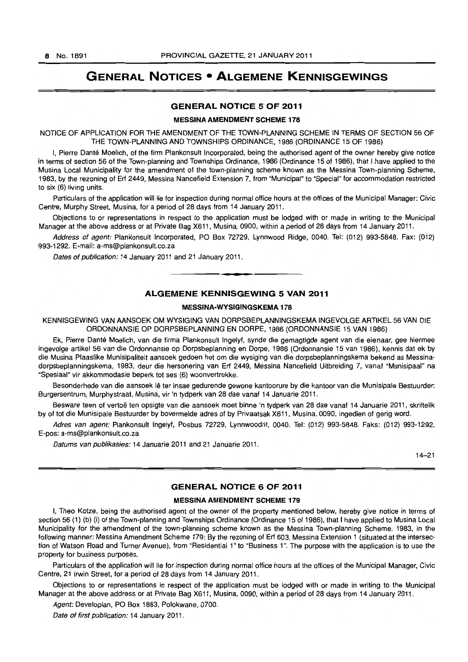# **GENERAL NOTICES • ALGEMENE KENNISGEWINGS**

# **GENERAL NOTICE 5 OF 2011**

#### **MESSINA AMENDMENT SCHEME 178**

NOTICE OF APPLICATION FOR THE AMENDMENT OF THE TOWN-PLANNING SCHEME IN TERMS OF SECTION 56 OF THE TOWN-PLANNING AND TOWNSHIPS ORDINANCE, 1986 (ORDINANCE 15 OF 1986)

I. Pierre Danté Moelich, of the firm Plankonsult Incorporated, being the authorised agent of the owner hereby give notice in terms of section 56 of the Town-planning and Townships Ordinance, 1986 (Ordinance 15 of 1986), that I have applied to the Musina Local Municipality for the amendment of the town-planning scheme known as the Messina Town-planning Scheme, 1983, by the rezoning of Erf 2449, Messina Nancefield Extension 7, from "Municipal" to ·Special" for accommodation restricted to six (6) living units.

Particulars of the application will lie for inspection during normal office hours at the offices of the Municipal Manager: Civic Centre, Murphy Street, Musina, for a period of 28 days from 14 January 2011.

Objections to or representations in respect to the application must be lodged with or made in writing to the Municipal Manager at the above address or at Private Bag X611, Musina, 0900, within a period of 28 days from 14 January 2011.

Address of agent: Plankonsult Incorporated, PO Box 72729, Lynnwood Ridge, 0040. Tel: (012) 993-5848. Fax: (012) 993-1292. E-mail: a-ms@plankonsult.co.za

Dates of publication: 14 January 2011 and 21 January 2011.

# **ALGEMENE KENNISGEWING 5 VAN 2011**

**1\_.** 

#### **MESSINA-WYSIGINGSKEMA 178**

KENNISGEWING VAN AANSOEK OM WYSIGING VAN DORPSBEPLANNINGSKEMA INGEVOLGE ARTIKEL 56 VAN DIE ORDONNANSIE OP DORPSBEPLANNING EN DORPE, 1986 (ORDONNANSIE 15 VAN 1986)

Ek, Pierre Dante Moelich, van die firma Plankonsult Ingelyf, synde die gemagtigde agent van die eienaar, gee hiermee ingevolge artikel 56 van die Ordonnansie op Dorpsbeplanning en Dorpe, 1986 (Ordonnansie 15 van 1986), kennis dat ek by die Musina Plaaslike Munisipaliteit aansoek gedoen het om die wysiging van die dorpsbeplanningskema bekend as Messinadorpsbeplanningskema, 1983, deur die hersonering van Erf 2449, Messina Nancefield Uitbreiding 7, vanaf "Munisipaal" na "Spesiaal" vir akkommodasie beperk tot ses (6) woonvertrekke.

Besonderhede van die aansoek lê ter insae gedurende gewone kantoorure by die kantoor van die Munisipale Bestuurder: Burgersentrum, Murphystraat, Musina, vir 'n tydperk van 28 dae vanaf 14 Januarie 2011.

Besware teen of vertoë ten opsigte van die aansoek moet binne 'n tydperk van 28 dae vanaf 14 Januarie 2011, skriftelik by of tot die Munisipale Bestuurder by bovermelde adres of by Privaatsak X611, Musina, 0090, ingedien of gerig word.

Adres van agent: Plankonsult Ingelyf, Posbus 72729, Lynnwoodrif. 0040. Tel: (012) 993-5848. Faks: (012) 993-1292. E-pos: a-ms@plankonsult.co.za

Datums van publikasies: 14 Januarie 2011 and 21 Januarie 2011.

14-21

# **GENERAL NOTICE 6 OF 2011**

#### **MESSINA AMENDMENT SCHEME 179**

I, Theo Kotze, being the authorised agent of the owner of the property mentioned below, hereby give notice in terms of section 56 (1) (b) (i) of the Town-planning and Townships Ordinance (Ordinance 15 of 1986), that I have applied to Musina Local Municipality for the amendment of the town-planning scheme known as the Messina Town-planning Scheme. 1983, in the following manner: Messina Amendment Scheme 179: By the rezoning of Erf 603, Messina Extension 1 (situated at the intersection of Watson Road and Turner Avenue), from "Residential 1" to "Business 1 ". The purpose with the application is to use the property for business purposes.

Particulars of the application will lie for inspection during normal office hours at the offices of the Municipal Manager, Civic Centre, 21 Irwin Street, for a period of 28 days from 14 January 2011.

Objections to or representations in respect of the application must be lodged with or made in writing to the Municipal Manager at the above address or at Private Bag X611, Musina, 0090, within a period of 28 days from 14 January 2011.

Agent: Developlan, PO Box 1883. Polokwane, 0700.

Date of first publication: 14 January 2011.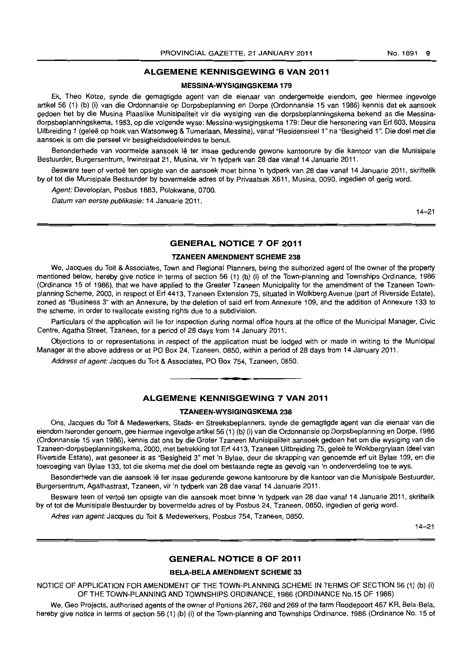# **ALGEMENE KENNISGEWING 6 VAN 2011**

## **MESSINA-WYSIGINGSKEMA 179**

Ek, Theo Kotze, synde die gemagtigde agent van die eienaar van ondergemelde eiendom, gee hiermee ingevolge artikel 56 (1) (b) (i) van die Ordonnansie op Dorpsbeplanning en Dorpe (Ordonnansie 15 van 1986) kennis dat ek aansoek gedoen het by die Musina Plaaslike Munisipaliteit vir die wysiging van die dorpsbeplanningskema bekend as die Messinadorpsbeplanningskema, 1983, op die volgende wyse: Messina-wysigingskema 179: Deur die hersonering van Erf 603, Messina Uitbreiding 1 (geleë op hoek van Watsonweg & Turnerlaan, Messina), vanaf "Residensieel 1" na "Besigheid 1". Die doel met die aansoek is om die perseel vir besigheidsdoeleindes te benut.

Besonderhede van voormelde aansoek lê ter insae gedurende gewone kantoorure by die kantoor van die Munisipale Bestuurder, Burgersentrum, Irwinstraat 21, Musina, vir 'n tydperk van 28 dae vanaf 14 Januarie 2011.

Besware teen of vertoë ten opsigte van die aansoek moet binne 'n tydperk van 28 dae vanaf 14 Januarie 2011, skriftelik by of tot die Munisipale Bestuurder by bovermelde adres of by Privaatsak X611, Musina, 0090, ingedien of gerig word.

Agent: Developlan, Posbus 1883, Polokwane, 0700.

Datum van eerste publikasie: 14 Januarie 2011.

14-21

# **GENERAL NOTICE 7 OF 2011**

### **TZANEEN AMENDMENT SCHEME 238**

We, Jacques du Toit & Associates, Town and Regional Planners, being the authorized agent of the owner of the property mentioned below, hereby give notice in terms of section 56 (1) (b) (i) of the Town-planning and Townships Ordinance, 1986 (Ordinance 15 of 1986), that we have applied to the Greater Tzaneen Municipality for the amendment of the Tzaneen Townplanning Scheme, 2000, in respect of Erf 4413, Tzaneen Extension 75, situated in Wolkberg Avenue (part of Riverside Estate), zoned as "Business 3" with an Annexure, by the deletion of said erf from Annexure 109, and the addition of Annexure 133 to the scheme, in order to reallocate existing rights due to a subdivision.

Particulars of the application will lie for inspection during normal office hours at the office of the Municipal Manager, Civic Centre, Agatha Street, Tzaneen, for a period of 28 days from 14 January 2011.

Objections to or representations in respect of the application must be lodged with or made in writing to the Municipal Manager at the above address or at PO Box 24, Tzaneen, 0850, within a period of 28 days from 14 January 2011.

Address of agent: Jacques du Toit & Associates, PO Box 754, Tzaneen, 0850 . . **-.** 

# **ALGEMENE KENNISGEWING 7 VAN 2011**

#### **TZANEEN-WYSIGINGSKEMA 238**

Ons, Jacques du Toit & Medewerkers, Stads- en Streeksbeplanners, synde die gemagtigde agent van die eienaar van die eiendom hieronder genoem, gee hiermee ingevolge artikel 56 (1) (b) (i) van die Ordonnansie op Dorpsbeplanning en Dorpe, 1986 (Ordonnansie 15 van 1986), kennis dat ons by die Groter Tzaneen Munisipaliteit aansoek gedoen het om die wysiging van die Tzaneen-dorpsbeplanningskema, 2000, met betrekking tot Erf 4413, Tzaneen Uitbreiding 75, gelee te Wolkbergrylaan (dee I van Riverside Estate), wat gesoneer is as "Besigheid 3" met 'n Bylae, deur die skrapping van genoemde erf uit Bylae 109, en die toevoeging van Bylae 133, tot die skema met die doel om bestaande regte as gevolg van 'n onderverdeling toe te wys.

Besonderhede van die aansoek lê ter insae gedurende gewone kantoorure by die kantoor van die Munisipale Bestuurder, Burgersentrum, Agathastraat, Tzaneen, vir 'n tydperk van 28 dae vanaf 14 Januarie 2011.

Besware teen of vertoë ten opsigte van die aansoek moet binne 'n tydperk van 28 dae vanaf 14 Januarie 2011, skriftelik by of tot die Munisipale Bestuurder by bovermelde adres of by Posbus 24, Tzaneen, 0850, ingedien of gerig word.

Adres van agent: Jacques du Toit & Medewerkers, Posbus 754, Tzaneen, 0850.

14-21

# **GENERAL NOTICE 8 OF 2011**

### **BELA·BELA AMENDMENT SCHEME 33**

NOTICE OF APPLICATION FOR AMENDMENT OF THE TOWN-PLANNING SCHEME IN TERMS OF SECTION 56 (1) (b) (i) OF THE TOWN-PLANNING AND TOWNSHIPS ORDINANCE, 1986 (ORDINANCE No.i5 OF 1986)

We, Geo Projects, authorised agents of the owner of Portions 267, 268 and 269 of the farm Roodepoort 467 KR, Bela-Bela, hereby give notice in terms of section 56 (1) (b) (i) of the Town-planning and Townships Ordinance, 1986 {Ordinance No. 15 of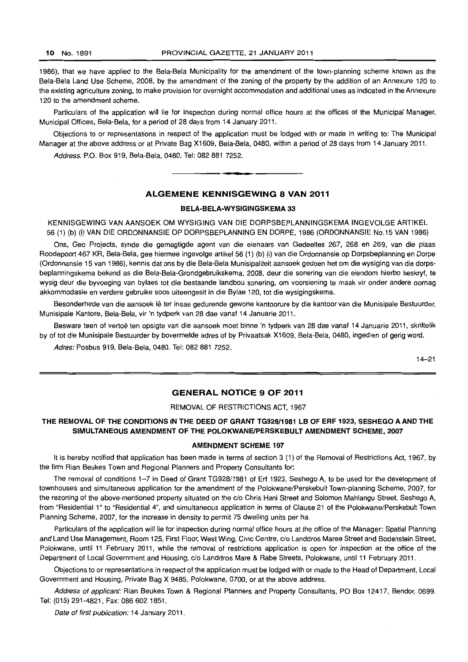1986), that we have applied to the Bela-Bela Municipality for the amendment of the town-planning scheme known as the Bela-Bela Land Use Scheme, 2008, by the amendment of the zoning of the property by the addition of an Annexure 120 to the existing agriculture zoning, to make provision for overnight accommodation and additional uses as indicated in the Annexure 120 to the amendment scheme.

Particulars of the application will lie for inspection during normal office hours at the offices of the Municipal Manager, Municipal Offices, Bela-Bela, for a period of 28 days from 14 January 2011.

Objections to or representations in respect of the application must be lodged with or made in writing to: The Municipal Manager at the above address or at Private Bag X1609, Bela-Bela, 0480, within a period of 28 days from 14 January 2011.

Address: P.O. Box 919, Bela-Bela, 0480. Tel: 082 881 7252.

# **ALGEMENE KENNISGEWING 8 VAN 2011**

**• I** 

#### **BELA-BELA-WYSIGINGSKEMA 33**

KENNISGEWING VAN AANSOEK OM WYSIGING VAN DIE DORPSBEPLANNINGSKEMA INGEVOLGE ARTIKEL 56 (1) (b) (i) VAN DIE ORDONNANSIE OP DORPSBEPLANNING EN DORPE, 1986 (ORDONNANSIE No.15 VAN 1986)

Ons, Geo Projects, synde die gemagtigde agent van die eienaars van Gedeeltes 267, 268 en 269, van die plaas Roodepoort 467 KR, Bela-Bela, gee hiermee ingevolge artikel 56 (1) (b) (i) van die Ordonnansie op Dorpsbeplanning en Dorpe (Ordonnansie 15 van 1986), kennis dat ons by die Bela-Bela Munisipaliteit aansoek gedoen het om die wysiging van die dorpsbeplanningskema bekend as die Bela-Bela-Grondgebruikskema, 2008, deur die sonering van die eiendom hierbo beskryf, te wysig deur die byvoeging van bylaes tot die bestaande landbou sonering, am voorsiening te maak vir onder andere oornag akkommodasie en verdere gebruike soos uiteengesit in die Bylae 120, tot die wysigingskema.

Besonderhede van die aansoek lê ter insae gedurende gewone kantoorure by die kantoor van die Munisipale Bestuurder, Munisipale Kantore, Bela-Bela, vir 'n tydperk van 28 dae vanaf 14 Januarie 2011.

Besware teen of vertoë ten opsigte van die aansoek moet binne 'n tydperk van 28 dae vanaf 14 Januarie 2011, skriftelik by of tot die Munisipale Bestuurder by bovermelde adres of by Privaatsak X1609, Bela-Bela, 0480, ingedien of gerig word.

Adres: Posbus 919, Bela-Bela, 0480. Tel: 082 881 7252.

14-21

### **GENERAL NOTICE 9 OF 2011**

#### REMOVAL OF RESTRICTIONS ACT, 1967

# **THE REMOVAL OF THE CONDITIONS IN THE DEED OF GRANT TG928/1981 LB OF ERF** 1923, **SESHEGO A AND THE SIMULTANEOUS AMENDMENT OF THE POLOKWANEIPERSKEBULT AMENDMENT SCHEME, 2007**

#### **AMENDMENT SCHEME 197**

It is hereby notified that application has been made in terms of section 3 (1) of the Removal of Restrictions Act, 1967, by the firm Rian Beukes Town and Regional Planners and Property Consultants for:

The removal of conditions 1-7 in Deed of Grant TG928/1981 of Erf 1923, Seshego A, to be used for the development of townhouses and simultaneous application for the amendment of the Polokwane/Perskebult Town-planning Scheme, 2007, for the rezoning of the above-mentioned property situated on the c/o Chris Hani Street and Solomon Mahlangu Street, Seshego A, from "Residential 1" to "Residential 4", and simultaneous application in terms of Clause 21 of the Polokwane/Perskebult Town Planning Scheme, 2007, for the increase in density to permit 75 dwelling units per ha.

Particulars of the application will lie for inspection during normal office hours at the office of the Manager: Spatial Planning and Land Use Management, Room 125, First Floor, West Wing, Civic Centre, c/o Landdros Maree Street and Bodenstein Street. Polokwane, until 11 February 2011, while the removal of restrictions application is open for inspection at the office of the Department of Local Government and Housing, c/o Landdros Mare & Rabe Streets, Polokwane, until 11 February 2011.

Objections to or representations in respect of the application must be lodged with or made to the Head of Department, Local Government and Housing, Private Bag X 9485, Polokwane, 0700, or at the above address.

Address of applicant: Rian Beukes Town & Regional Planners and Property Consultants, PO Box 12417, Bendor, 0699. Tel: (015) 291-4821, Fax: 086 602 1851.

Date of first publication: 14 January 2011.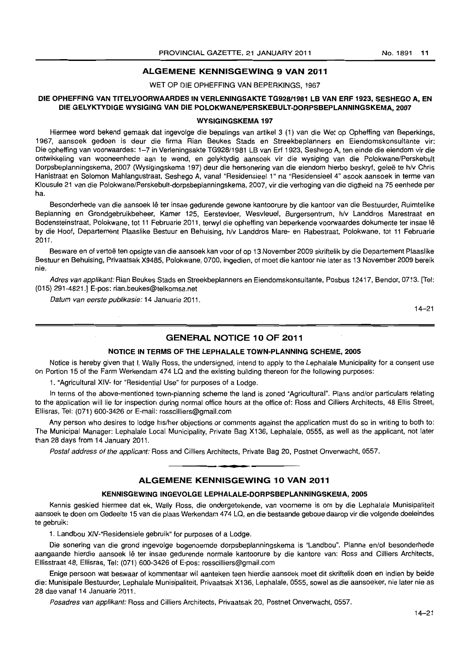# ALGEMENE KENNISGEWING 9 VAN 2011

WET OP DIE OPHEFFING VAN BEPERKINGS, 1967

# DIE OPHEFFING VAN TITELVOORWAARDES IN VERLENINGSAKTE TG928/1981 LB VAN ERF 1923, SESHEGO A, EN DIE GELYKTYDIGE WYSIGING VAN DIE POLOKWANE/PERSKEBULT-DORPSBEPLANNINGSKEMA, 2007

#### WYSIGINGSKEMA 197

Hiermee word bekend gemaak dat ingevolge die bepalings van artikel 3 (1) van die Wet op Opheffing van Beperkings, 1967, aansoek gedoen is deur die firma Rian Beukes Stads en Streekbeplanners en Eiendomskonsultante vir: Die opheffing van voorwaardes: 1-7 in Verleningsakte TG928/1981 LB van Erf 1923, Seshego A, ten einde die eiendom vir die ontwikkeling van wooneenhede aan te wend, en gelyktydig aansoek vir die wysiging van die Polokwane/Perskebult Dorpsbeplanningskema, 2007 (Wysigingskema 197) deur die hersonering van die eiendom hierbo beskryf, geleë te h/v Chris Hanistraat en Solomon Mahlangustraat, Seshego A, vanaf "Residensieel 1" na "Residensieel 4" asook aansoek in terme van Klousule 21 van die Polokwane/Perskebult-dorpsbeplanningskema, 2007, vir die verhoging van die digtheid na 75 eenhede per ha.

Besonderhede van die aansoek lê ter insae gedurende gewone kantoorure by die kantoor van die Bestuurder, Ruimtelike Beplanning en Grondgebruikbeheer, Kamer 125, Eerstevloer, Wesvleuel, Burgersentrum, h/v Landdros Marestraat en Bodensteinstraat, Polokwane, tot 11 Februarie 2011, terwyl die opheffing van beperkende voorwaardes dokumente ter insae Ie by die Hoof, Departement Plaaslike Bestuur en Behuising, h/v Landdros Mare- en Rabestraat, Polokwane, tot 11 Februarie 2011.

Besware en of vertoë ten opsigte van die aansoek kan voor of op 13 November 2009 skriftelik by die Departement Plaaslike Bestuur en Behuising, Privaatsak X9485, Polokwane, 0700, ingedien, of moet die kantoor nie later as 13 November 2009 bereik nie.

Adres van applikant: Rian Beukes Stads en Streekbeplanners en Eiendomskonsultante, Posbus 12417, Bendor, 0713. [Tel: (015) 291-4821.] E-pos: rian.beukes@telkomsa.net

Datum van eerste publikasie: 14 Januarie 2011.

14-21

# GENERAL NOTICE 10 OF 2011

#### NOTICE IN TERMS OF THE LEPHALALE TOWN-PLANNING SCHEME, 2005

Notice is hereby given that I, Wally Ross, the undersigned, intend to apply to the Lephalale Municipality for a consent use on Portion 15 of the Farm Werkendam 474 LQ and the existing building thereon for the following purposes:

1. "Agricultural XIV- for "Residential Use" for purposes of a Lodge.

In terms of the above-mentioned town-planning scheme the land is zoned "Agricultural". Plans and/or particulars relating to the application will lie for inspection during normal office hours at the office of: Ross and Cilliers Architects, 48 Ellis Street, Ellisras, Tel: (071) 600-3426 or E-mail: rosscilliers@gmail.com

Any person who desires to lodge his/her objections or comments against the application must do so in writing to both to: The Municipal Manager: Lephalale Local Municipality, Private Bag X136, Lephalale, 0555, as well as the applicant, not later than 28 days from 14 January 2011.

Postal address of the applicant: Ross and Cilliers Architects, Private Bag 20, Postnet Onverwacht, 0557.

# ALGEMENE KENNISGEWING 10 VAN 2011

• **\_ 1** 

#### KENNISGEWING INGEVOLGE LEPHALALE-DORPSBEPLANNINGSKEMA, 2005

Kennis geskied hiermee dat ek. Wally Ross, die ondergetekende, van voorneme is om by die Lephalale Munisipaliteit aansoek te doen am Gedeelte 15 van die plaas Werkendam 474 LQ, en die bestaande geboue daarop vir die volgende doeleindes te gebruik:

1. Landbou XIV-"Residensiele gebruik" for purposes of a Lodge.

Die sonering van die grond ingevolge bogenoemde dorpsbeplanningskema is "Landbou". Planne en/of besonderhede aangaande hierdie aansoek lê ter insae gedurende normale kantoorure by die kantore van: Ross and Cilliers Architects, Ellisstraat 48, Ellisras, Tel: (071) 600-3426 of E-pos: rosscilliers@gmail.com

Enige persoon wat beswaar of kommentaar wi! aanteken teen hierdie aansoek moet dit skriftelik doen en indien by beide die: Munisipale Bestuurder, Lephalale Munisipaliteit, Privaatsak X136, Lephalale, 0555, sowel as die aansoeker, nie later nie as 28 dae vanaf 14 Januarie 2011 .

Posadres van applikant: Ross and Cilliers Architects, Privaatsak 20, Postnet Onverwacht, 0557.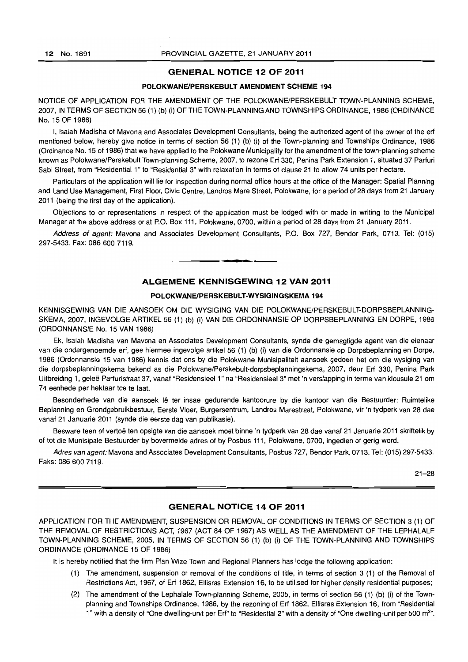# **GENERAL NOTICE 12 OF 2011**

## **POLOKWANEIPERSKEBULT AMENDMENT SCHEME 194**

NOTICE OF APPLICATION FOR THE AMENDMENT OF THE POLOKWANE/PERSKEBULT TOWN-PLANNING SCHEME. 2007. IN TERMS OF SECTION 56 (1) (b) (i) OF THE TOWN-PLANNING AND TOWNSHIPS ORDINANCE. 1986 (ORDINANCE No. 15 OF 1986)

I. Isaiah Madisha of Mavona and Associates Development Consultants, being the authorized agent of the owner of the ert mentioned below, hereby give notice in terms of section 56 (1) (b) (i) of the Town-planning and Townships Ordinance, 1986 (Ordinance No. 15 of 1986) that we have applied to the Polokwane Municipality for the amendment of the town-planning scheme known as Polokwane/Perskebult Town-planning Scheme, 2007, to rezone Erf 330, Penina Park Extension 1. situated 37 Parfuri Sabi Street, from "Residential 1" to "Residential 3" with relaxation in terms of clause 21 to allow 74 units per hectare.

Particulars of the application will lie for inspection during normal office hours at the office of the Manager: Spatial Planning and Land Use Management, First Floor. Civic Centre, Landros Mare Street, Polokwane, for a period 01 28 days from 21 January 2011 (being the first day of the application).

Objections to or representations in respect of the application must be lodged with or made in writing to the Municipal Manager at the above address or at P.O. Box 111. Polokwane, 0700. within a period of 28 days from 21 January 2011.

Address of agent: Mavona and Associates Development Consultants, P.O. Box 727, Bendor Park, 0713. Tel: (015) 297-5433. Fax: 086 600 7119. . **-.** 

# **ALGEMENE KENNISGEWING 12 VAN 2011**

# **POLOKWANEIPERSKEBULT-WVSIGINGSKEMA 194**

KENNISGEWING VAN DIE AANSOEK OM DIE WYSIGING VAN DIE POLOKWANE/PERSKEBULT-DORPSBEPLANNING-SKEMA, 2007, INGEVOLGE ARTIKEL 56 (1) (b) (i) VAN DIE ORDONNANSIE OP DORPSBEPLANNING EN DORPE, 1986 (ORDONNANSIE No. 15 VAN 1986)

Ek, Isaiah Madisha van Mavona en Associates Development Consultants. synde die gemagtigde agent van die eienaar van die ondergenoemde erf, gee hiermee ingevolge artikel 56 (1) (b) (i) van die Ordonnansie op Dorpsbeplanning en Dorpe, 1986 (Ordonnansie 15 van 1986) kennis dat ons by die Polokwane Munisipaliteit aansoek gedoen het am die wysiging van die dorpsbeplanningskema bekend as die Polokwane/Perskebult-dorpsbeplanningskema, 2007, deur Erf 330, Penina Park Uitbreiding 1, geleë Parfuristraat 37, vanaf "Residensieel 1" na "Residensieel 3" met 'n verslapping in terme van klousule 21 om 74 eenhede per hektaar toe te laat.

Besonderhede van die aansoek lê ter insae gedurende kantoorure by die kantoor van die Bestuurder: Ruimtelike Beplanning en Grondgebruikbestuur, Eerste Vlcer, Burgersentrum, Landros Marestraat, Polokwane, vir 'n tydperk *van* 28 dae vanaf 21 Januarie 2011 (synde die eerste dag van publikasie).

Besware teen of vertoe ten opsigte van die aansoek moet binne 'n tydperk *van* 28 dae vanal 21 Januarie 2011 skriftelik by of tot die Munisipale Bestuurder by bovermelde adres of by Posbus 111, Polokwane, 0700, ingedien of gerig word.

Adres van agent: Mavona and Associates Development Consultants, Posbus 727, Bendor Park, 0713. Tel: (015) 297-5433. Faks: 086600 7119.

21-28

# **GENERAL NOTICE 14 OF 2011**

APPLICATION FOR THE AMENDMENT, SUSPENSION OR REMOVAL OF CONDITIONS IN TERMS OF SECTION 3 (1) OF THE REMOVAL OF RESTRICTIONS ACT, 1967 (ACT 84 OF 1967) AS WELL AS THE AMENDMENT OF THE LEPHALALE TOWN-PLANNING SCHEME, 2005, IN TERMS OF SECTION 56 (1) (b) (i) OF THE TOWN-PLANNING AND TOWNSHIPS ORDINANCE (ORDINANCE 15 OF 1986)

It is hereby notified that the firm Plan Wize Town and Regional Planners has lodge the following application:

- (1) The amendment, suspension or removal of the conditions of title, in terms of section 3 (1) of the Removal of Restrictions Act, 1967, of Erf 1862, Ellisras Extension 16, to be utilised for higher density residential purposes;
- (2) The amendment of the Lephalale Town-planning Scheme, 2005, in terms of section 56 (1) (b) (i) of the Townplanning and Townships Ordinance, 1986, by the rezoning of Erf 1862, Ellisras Extension 16, from "Residential 1" with a density of "One dwelling-unit per Erf" to "Residential 2" with a density of "One dwelling-unit per 500 m<sup>2</sup>".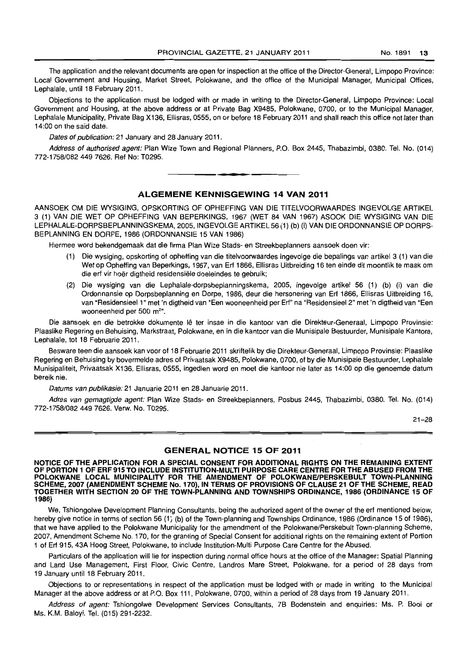The application and the relevant documents are open for inspection at the office of the Director-General, Limpopo Province: Local Government and Housing, Market Street, Polokwane, and the office of the Municipal Manager, Municipal Offices, Lephalale, until 18 February 2011.

Objections to the application must be lodged with or made in writing to the Director-General, Limpopo Province: Local Government and Housing, at the above address or at Private Bag X9485, Polokwane, 0700, or to the Municipal Manager, Lephalale Municipality, Private Bag X136, Ellisras, 0555, on or before 18 February 2011 and shall reach this office not later than 14:00 on the said date.

Dates of publication: 21 January and 28 January 2011.

Address of authorised agent: Plan Wize Town and Regional Planners, P.O. Box 2445, Thabazimbi, 0380. Tel. No. (014) 772-1758/0824497626. Ref No: T0295. **. -**

# ALGEMENE KENNISGEWING 14 VAN 2011

AANSOEK OM DIE WYSIGING, OPSKORTING OF OPHEFFING VAN DIE TITELVOORWAARDES INGEVOLGE ARTIKEL 3 (1) VAN DIE WET OP OPHEFFING VAN BEPERKINGS, 1967 (WET 84 VAN 1967) ASOOK DIE WYSIGING VAN DIE LEPHALALE-DORPSBEPLANNINGSKEMA, 2005, INGEVOLGE ARTIKEL 56 (1) (b) (i) VAN DIE ORDONNANSIE OP DORPS-BEPLANNING EN DORPE, 1986 (ORDONNANSIE 15 VAN 1986)

Hiermee word bekendgemaak dat die firma Plan Wize Stads- en Streekbeplanners aansoek doen vir:

- (1) Die wysiging, opskorting of opheffing van die titelvoorwaardes ingevolge die bepalings van artikel 3 (1) van die Wet op Opheffing van Beperkings, 1967, van Erf 1866, Ellisras Uitbreiding 16 ten einde dit moontlik te maak om die erf vir hoër digtheid residensiële doeleindes te gebruik;
- (2) Die wysiging van die Lephalale-dorpsbeplanningskema, 2005, ingevolge artikel 56 (1) (b) (i) van die Ordonnansie op Dorpsbeplanning en Dorpe, 1986, deur die hersonering van Erf 1866, Ellisras Uitbreiding 16, van "Residensieel 1" met 'n digtheid van "Een wooneenheid per Erf" na "Residensieel 2" met 'n digtheid van "Een wooneenheid per 500 m<sup>2</sup>".

Die aansoek en die betrokke dokumente lê ter insae in die kantoor van die Direkteur-Generaal, Limpopo Provinsie: Plaaslike Regering en Behuising, Markstraat, Polokwane, en in die kantoor van die Munisipale Bestuurder, Munisipale Kantore, Lephalale, tot 18 Februarie 2011.

Besware teen die aansoek kan voor of 18 Februarie 2011 skriftelik by die Direkteur-Generaal, Limpopo Provinsie: Plaaslike Regering en Behuising by bovermelde adres of Privaatsak X9485, Polokwane, 0700, of by die Munisipale Bestuurder, Lepha!ale Munisipaliteit, Privaatsak X136, Ellisras, 0555, ingedien word en moet die kantoor nie later as 14:00 op die genoemde datum bereik nie.

Datums van publikasie: 21 Januarie 2011 en 28 Januarie 2011.

Adres van gemagtigde agent: Plan Wize Stads- en Streekbeplanners, Posbus 2445, Thabazimbi, 0380. Tel. No. (014) 772-1758/0824497626. Verw. No. T0295.

21-28

#### GENERAL NOTICE 15 OF 2011

NOTICE OF THE APPLICATION FOR A SPECIAL CONSENT FOR ADDITIONAL RIGHTS ON THE REMAINING EXTENT OF PORTION 1 OF ERF 915 TO INCLUDE INSTITUTION-MULTI PURPOSE CARE CENTRE FOR THE ABUSED FROM THE POLOKWANE LOCAL MUNICIPALITY FOR THE AMENDMENT OF POLOKWANE/PERSKEBULT TOWN-PLANNING SCHEME, 2007 (AMENDMENT SCHEME No. 170). IN TERMS OF PROVISIONS OF CLAUSE 21 OF THE SCHEME, READ TOGETHER WITH SECTION 20 OF THE TOWN·PLANNING AND TOWNSHIPS ORDINANCE, 1986 (ORDINANCE 15 OF 1986)

We, Tshiongolwe Development Planning Consultants, being the authorized agent of the owner of the erf mentioned below, hereby give notice in terms of section 56 (1) (b) of the Town-planning and Townships Ordinance, 1986 (Ordinance 15 of 1986), that we have applied to the Polokwane Municipality for the amendment of the Polokwane/Perskebult Town-planning Scheme, 2007, Amendment Scheme No. 170, for the granting of Special Consent for additional rights on the remaining extent of Portion 1 of Erf 915, 43A Hoog Street, Polokwane, to include Institution-Multi Purpose Care Centre for the Abused.

Particulars of the application will lie for inspection during normal office hours at the office of the Manager: Spatial Planning and Land Use Management, First Floor, Civic Centre, Landros Mare Street, Polokwane, for a period of 28 days from 19 January until 18 February 2011.

Objections to or representations in respect of the application must be lodged with or made in writing to the Municipal Manager at the above address or at P.O. Box 111, Polokwane, 0700, within a period of 28 days from 19 January 2011.

Address of agent: Tshiongolwe Development Services Consultants, 7B Bodenstein and enquiries: Ms. P. Booi or Ms. K.M. Baloyi. Tel. (015) 291-2232.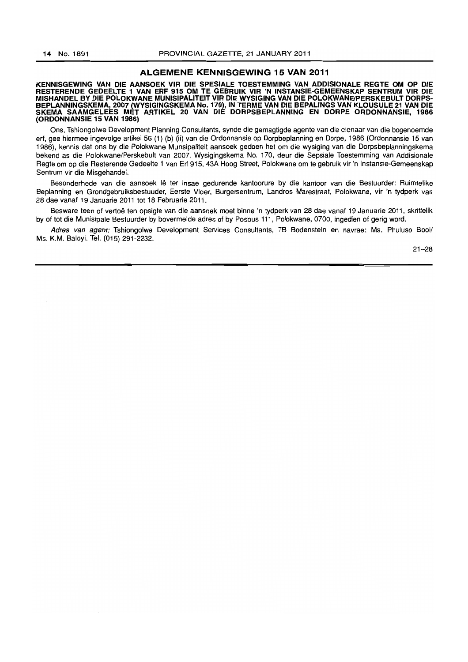#### **ALGEMENE KENNISGEWING 15 VAN 2011**

**KENNISGEWING VAN DIE AANSOEK VIR DIE SPESIALE TOESTEMMING VAN ADDISIONALE REGTE OM OP DIE RESTERENDE GEDEELTE 1 VAN ERF 915 OM TE GEBRUIK VIR 'N INSTANSIE-GEMEENSKAP SENTRUM VIR DIE MISHANDEL BY DIE POLOKWANE MUNISIPALITEIT VIR DIE WYSIGING VAN DIE POLOKWANEJPERSKEBULT DORPS-BEPLANNINGSKEMA, 2007 (WYSIGINGSKEMA No. 170), IN TERME VAN DIE BEPALINGS VAN KLOUSULE 21 VAN DIE SKEMA SAAMGELEES MET ARTIKEL 20 VAN DIE DORPSBEPLANNING EN DORPE ORDONNANSIE, 1966 (ORDONNANSIE 15 VAN 1986)** 

Ons, Tshiongolwe Development Planning Consultants, synde die gemagtigde agente van die eienaar van die bogenoemde erf, gee hiermee ingevolge artikel 56 (1) (b) (ii) van die Ordonnansie op Dorpbeplanning en Dorpe, 1986 (Ordonnansie 15 van 1986), kennis dat ons by die Polokwane Munsipaliteit aansoek gedoen het om die wysiging van die Dorpsbeplanningskema bekend as die Polokwane/Perskebult van 2007, Wysigingskema No. 170, deur die Sepsiale Toestemming van Addisionale Regte om op die Resterende Gedeelte 1 van Erf 915, 43A Hoog Street, Polokwane om te gebruik vir 'n Instansie-Gemeenskap Sentrum vir die Misgehandel.

Besonderhede van die aansoek lê ter insae gedurende kantoorure by die kantoor van die Bestuurder: Ruimtelike Beplanning en Grondgebruiksbestuuder, Eerste Vloer, Burgersentrum, Landros Marestraat, Polokwane, vir 'n tydperk van 28 dae vanaf 19 Januarie 2011 tot 18 Februarie 2011.

Besware teen of vertoë ten opsigte van die aansoek moet binne 'n tydperk van 28 dae vanaf 19 Januarie 2011, skriftelik by of tot die Munisipale Bestuurder by bovermelde adres of by Posbus 111, Polokwane, 0700, ingedien of gerig word.

Adres van agent: Tshiongolwe Development Services Consultants, 7B Bodenstein en navrae: Ms. Phuluso Booi/ Ms. K.M. Baloyi. Tel. (015) 291-2232.

21-28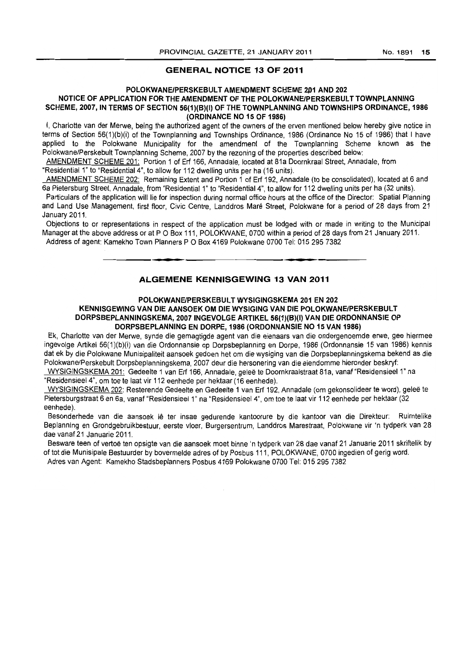# **GENERAL NOTICE 13 OF 2011**

#### **POLOKWANE/PERSKEBULT AMENDMENT SCijEME 2.01 AND 202**

# NOTICE OF APPLICATION FOR THE AMENDMENT OF THE POLOKWANE/PERSKEBULT TOWNPLANNING SCHEME, 2007, IN TERMS OF SECTION 56(1)(B)(I) OF THE TOWNPLANNING AND TOWNSHIPS ORDINANCE, 1986 **(ORDINANCE NO 15 OF 1986)**

I, Charlotte van der Merwe, being the authorized agent of the owners of the erven mentioned below hereby give notice in terms of Section 56(1)(b)(i) of the Townplanning and Townships Ordinance, 1986 (Ordinance No 15 of 1986) that I have applied to the Polokwane Municipality for the amendment of the Townplanning Scheme known as the Polokwane/Perskebult Townplanning Scheme, 2007 by the rezoning of the properties described below:

AMENDMENT SCHEME 201: Portion 1 of Erf 166, Annadale, located at 81a Doornkraal Street, Annadale, from

"Residential 1" to "Residential 4", to allow for 112 dwelling units per ha (16 units).

AMENDMENT SCHEME 202: Remaining Extent and Portion 1 of Erf 192, Annadale (to be consolidated), located at 6 and 6a Pietersburg Street, Annadale, from "Residential 1" to "Residential 4", to allow for 112 dwelling units per ha (32 units).

Particulars of the application will lie for inspection during normal office hours at the office of the Director: Spatial Planning and Land Use Management, first floor, Civic Centre, Landdros Mare Street, Polokwane for a period of 28 days from 21 January 2011.

Objections to or representations in respect of the application must be lodged with or made in writing to the Municipal Manager at the above address or at PO Box 111, POLOKWANE, 0700 within a period of 28 days from 21 January 2011. Address of agent: Kamekho Town Planners POBox 4169 Polokwane 0700 Tel: 0152957382 . **- .** I **\_ I** 

# **ALGEMENE KENNISGEWING 13 VAN 2011**

# **POLOKWANE/PERSKEBULT WYSIGINGSKEMA 201 EN 202 KENNISGEWING VAN DIE AANSOEK OM DIE WYSIGING VAN DIE POLOKWANE/PERSKE8ULT DORPS8EPLANNINGSKEMA, 20071NGEVOLGE ARTIKEL 56(1)(8)(1) VAN DIE ORDONNANSIE OP DORPSBEPLANNING EN DORPE, 1986 (ORDONNANSIE NO 15 VAN 1986)**

Ek, Charlotte van der Merwe, synde die gemagtigde agent van die eienaars van die andergenoemde erwe, gee hiermee ingevolge Artikel 56(1)(b)(i) van die Ordonnansie op Dorpsbeplanning en Darpe, 1986 (Ordonnansie 15 van 1986) kennis dat ek by die Polokwane Munisipaliteit aansoek gedoen het om die wysiging van die Darpsbeplanningskema bekend as die Polokwane/Perskebult Dorpsbeplanningskema, 2007 deur die hersonering van die eiendomme hieronder beskryf:

WYSIGINGSKEMA 201: Gedeelte 1 van Erf 166, Annadale, gelee te Doornkraalstraat 81a, vanaf "ResidensieeI1" na "ResidensieeI4", am toe te laat vir 112 eenhede per hektaar (16 eenhede).

WYSIGINGSKEMA 202: Resterende Gedeelte en Gedeelte 1 van Erf 192, Annadale (om gekonsolideer te word), gelee te Pietersburgstraat 6 en 6a, vanaf "Residensieel 1" na "Residensieel 4", om toe te laat vir 112 eenhede per hektaar (32 eenhede).

Besonderhede van die aansoek lê ter insae gedurende kantoorure by die kantoor van die Direkteur: Ruimtelike Beplanning en Grondgebruikbestuur, eerste vloer, Burgersentrum, Landdros Marestraat, Polokwane vir 'n tydperk van 28 dae vanaf 21 Januarie 2011.

Besware teen of vertoë ten opsigte van die aansoek moet binne 'n tydperk van 28 dae vanaf 21 Januarie 2011 skriftelik by of tot die Munisipale Bestuurder by bovermelde adres of by Posbus 111, POLOKWANE, 0700 ingedien of gerig word.

Adres van Agent: Kamekho Stadsbeplanners Posbus 4169 Polokwane 0700 Tel: 0152957382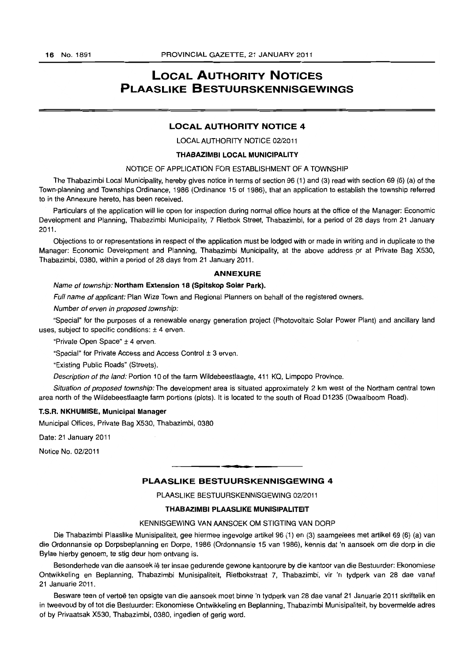# **LOCAL AUTHORITY NOTICES PLAASLIKE BESTUURSKENNISGEWINGS**

# **LOCAL AUTHORITY NOTICE 4**

LOCAL AUTHORITY NOTICE 02/2011

#### **THABAZIMBI LOCAL MUNICIPALITY**

# NOTICE OF APPLICATION FOR ESTABLISHMENT OF A TOWNSHIP

The Thabazimbi Local Municipality, hereby gives notice in terms of section 96 (1) and (3) read with section 69 (6) (a) of the Town-planning and Townships Ordinance, 1986 (Ordinance 15 of 1986), that an application to establish the township referred to in the Annexure hereto, has been received.

Particulars of the application will lie open for inspection during normal office hours at the office of the Manager: Economic Development and Planning, Thabazimbi Municipality, 7 Rietbok Street, Thabazimbi, for a period of 28 days from 21 January 2011.

Objections to or representations in respect of the application must be lodged with or made in writing and in duplicate to the Manager: Economic Development and Planning, Thabazimbi Municipality, at the above address pr at Private Bag X530, Thabazimbi, 0380, within a period of 28 days from 21 January 2011.

#### **ANNEXURE**

#### Name of township: Northam Extension 18 (Spitskop Solar Park).

Full name of applicant: Plan Wize Town and Regional Planners on behalf of the registered owners.

Number of erven in proposed township:

"Special" for the purposes of a renewable energy generation project (Photovoltaic Solar Power Plant) and ancillary land uses, subject to specific conditions:  $±$  4 erven.

"Private Open Space" ± 4 erven.

"Special" for Private Access and Access Control ± 3 erven.

"Existing Public Roads" (Streets).

Description of the land: Portion 10 of the farm Wildebeestlaagte, 411 KQ, Limpopo Province.

Situation of proposed township: The development area is situated approximately 2 km west of the Northam central town area north of the Wildebeestlaagte farm portions (plots). It is located to the south of Road 01235 (Dwaalboom Road).

#### T.S.R. NKHUMISE, Municipal Manager

Municipal Offices, Private Bag X530, Thabazimbi, 0380

Date: 21 January 2011

Notice No. 02/2011

# **- PLAASUKE BESTUURSKENNISGEWING 4**

PLAASLIKE BESTUURSKENNISGEWING 02/2011

#### THABAZIMBI PLAASLIKE MUNISIPALITEIT

#### KENNISGEWING VAN AANSOEK OM STIGTING VAN DORP

Die Thabazimbi Plaaslike Munisipaliteit, gee hiermee ingevolge artikel 96 (1) en (3) saamgelees met artikel 69 (6) (a) van die Ordonnansie op Dorpsbeplanning en Dorpe, 1986 (Ordonnansie 15 van 1986), kennis dat 'n aansoek om die dorp in die Bylae hierby genoem, te stig deur hom ontvang is.

Besonderhede van die aansoek lê ter insae gedurende gewone kantoorure by die kantoor van die Bestuurder: Ekonomiese Ontwikkeling en Beplanning, Thabazimbi Munisipaliteit, Rietbokstraat 7, Thabazimbi, vir 'n tydperk van 28 dae vanaf 21 Januarie 2011.

Besware teen of vertoë ten opsigte van die aansoek moet binne 'n tydperk van 28 dae vanaf 21 Januarie 2011 skriftelik en in tweevoud by of tot die Bestuurder: Ekonomiese Ontwikkeling en Beplanning, Thabazimbi Munisipaliteit, by bovermelde adres of by Privaatsak X530, Thabazimbi, 0380, ingedien of gerig word.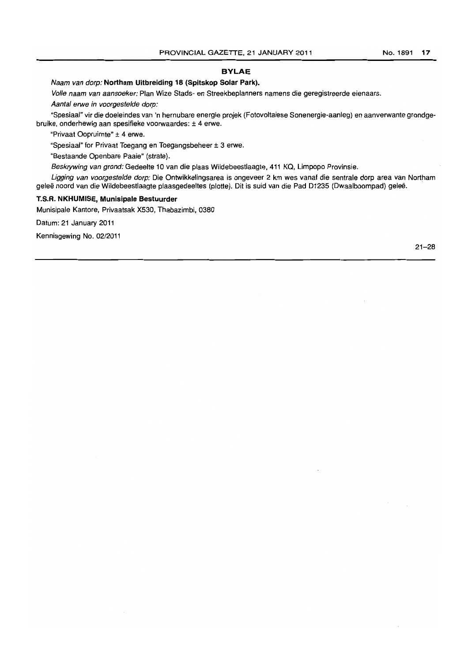# **BYLAE**

Naam van dorp: **Northam Uitbreiding 18 (Spltskop Solar Park).** 

Volfe naam van aansoeker: Plan Wize Stads- en Streekbeplanners namens die geregistreerde eienaars. Aantal erwe in voorgestelde dorp:

"Spesiaal" vir die doeleindes van 'n hernubare energie projek (Fotovoltaiese Sonenergie-aanleg) en aanverwante grondgebruike, onderhewig aan spesifieke voorwaardes: ± 4 erwe.

"Privaat Oopruimte" ± 4 erwe.

"Spesiaal" for Privaat Toegang en Toegangsbeheer ± 3 erwe.

"Bestaande Openbare Paaie" (strate).

Beskrywing van grond: Gedeelte 10 van die plaas Wildebeestlaagte, 411 KQ, Limpopo Provinsie.

Ligging van voorgestelde dorp: Die Ontwikkelingsarea is ongeveer 2 km wes vanaf die sentrale dorp area van Northam geleë noord van die Wildebeestlaagte plaasgedeeltes (plotte). Dit is suid van die Pad D1235 (Dwaalboompad) geleë.

# **T.S.R. NKHUMISE, Munisipale Bestuurder**

Munisipale Kantore, Privaatsak X530, Thabazimbi, 0380

Datum: 21 January 2011

Kennisgewing No. 02/2011

21-28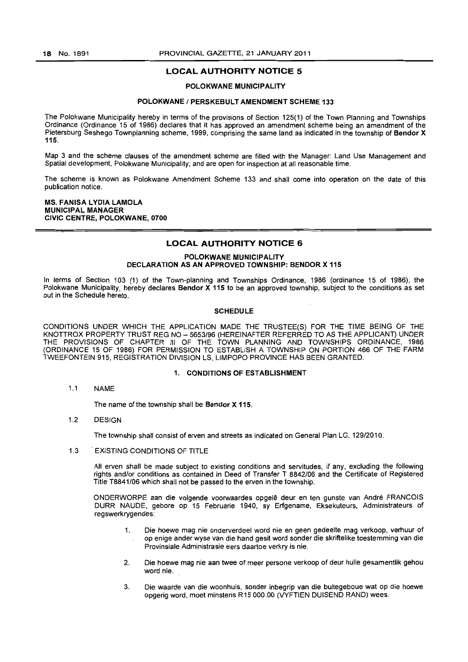# **LOCAL AUTHORITY NOTICE** 5

#### POLOKWANE MUNICIPALITY

#### POLOKWANE / PERSKEBULT AMENDMENT SCHEME 133

The Polokwane Municipality hereby in terms of the provisions of Section 125(1) of the Town Planning and Townships Ordinance (Ordinance 15 of 1986) declares that it has approved an amendment scheme being an amendment of the Pietersburg Seshego Townplanning scheme. 1999, comprising the same land as indicated in the township of Bendor X 115.

Map 3 and the scheme clauses of the amendment scheme are filled with the Manager: Land Use Management and Spatial development. Polokwane Municipality. and are open for inspection at all reasonable time.

The scheme is known as Polokwane Amendment Scheme 133 and shall come into operation on the date of this publication notice.

#### MS. FANISA LYDIA LAMOLA MUNICIPAL MANAGER CIVIC CENTRE, POLOKWANE, 0700

#### **LOCAL AUTHORITY NOTICE 6**

### POLOKWANE MUNICIPALITY DECLARATION AS AN APPROVED TOWNSHIP: BENDOR X 115

In terms of Section 103 (1) of the Town-planning and Townships Ordinance, 1986 (ordinance 15 of 1986). the Polokwane Municipality, hereby declares Bendor X 115 to be an approved township, subject to the conditions as set out in the Schedule hereto.

#### **SCHEDULE**

CONDITIONS UNDER WHICH THE APPLICATION MADE THE TRUSTEE{S) FOR THE TIME BEING OF THE KNOTTROX PROPERTY TRUST REG NO - *5653/96* (HEREINAFTER REFERRED TO AS THE APPLICANT) UNDER THE PROVISIONS OF CHAPTER III OF THE TOWN PLANNING AND TOWNSHIPS ORDINANCE, 1986 (ORDINANCE 15 OF 1986) FOR PERMISSION TO ESTABLISH A TOWNSHIP ON PORTION 466 OF THE FARM TWEEFONTEIN 915, REGISTRATION DIVISION LS, LIMPOPO PROVINCE HAS BEEN GRANTED.

#### 1. CONDITIONS OF ESTABLISHMENT

1.1 NAME

The name of the township shall be Bendor X 115.

1.2 DESIGN

The township shall consist of erven and streets as indicated on General Plan LG. 129/2010.

1.3 EXISTING CONDITIONS OF TITLE

All erven shall be made subject to existing conditions and servitudes, if any, excluding the following rights and/or conditions as contained in Deed of Transfer T *8842/06* and the Certificate of Registered Title T8841/06 which shall not be passed to the erven in the township.

ONDERWORPE aan die volgende voorwaardes opgele deur en ten gunste van Andre FRANCOIS DURR NAUDE, gebore op 15 Februarie 1940, sy Erfgename, Eksekuteurs, Administrateurs of regswerkrygendes:

- 1. Die hoewe mag nie onderverdeel word nie en geen gedeelte mag verkoop, verhuur of op enige ander wyse van die hand gesit word sonder die skriftelike toestemming van die Provinsiale Administrasie eers daartoe verkry is nie.
- 2. Die hoewe mag nie aan twee of meer persone verkoop of deur hulle gesamentlik gehou word nie.
- 3. Die waarde van die woonhuis, sander inbegrip van die buitegeboue wat op die hoewe opgerig word, moet minstens R15 000.00 (VYFTIEN DUISEND RAND) wees.